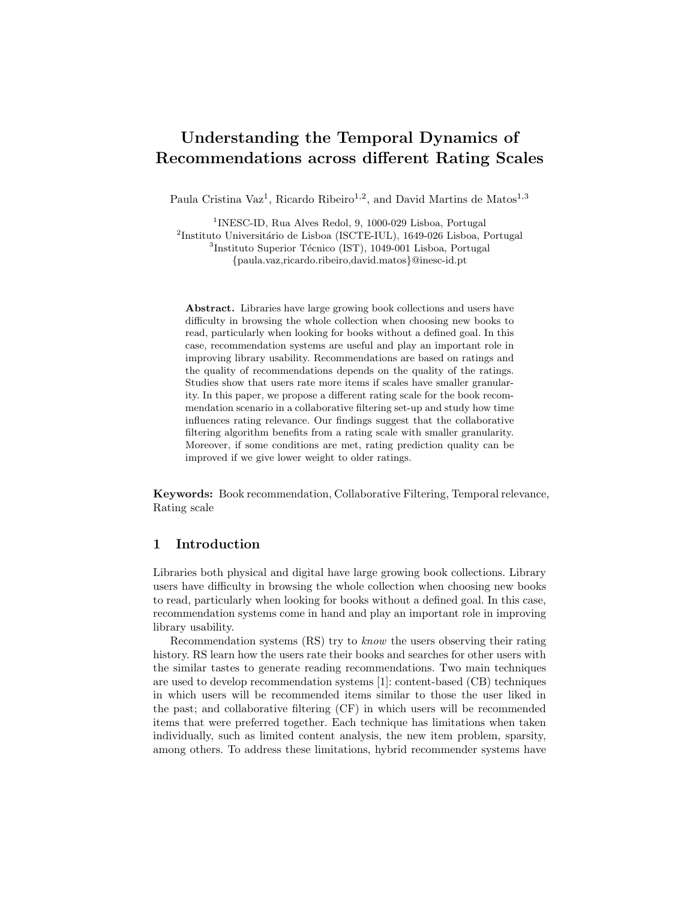# Understanding the Temporal Dynamics of Recommendations across different Rating Scales

Paula Cristina Vaz<sup>1</sup>, Ricardo Ribeiro<sup>1,2</sup>, and David Martins de Matos<sup>1,3</sup>

<sup>1</sup>INESC-ID, Rua Alves Redol, 9, 1000-029 Lisboa, Portugal  $^{2}$ Instituto Universitário de Lisboa (ISCTE-IUL), 1649-026 Lisboa, Portugal <sup>3</sup>Instituto Superior Técnico (IST), 1049-001 Lisboa, Portugal {paula.vaz,ricardo.ribeiro,david.matos}@inesc-id.pt

Abstract. Libraries have large growing book collections and users have difficulty in browsing the whole collection when choosing new books to read, particularly when looking for books without a defined goal. In this case, recommendation systems are useful and play an important role in improving library usability. Recommendations are based on ratings and the quality of recommendations depends on the quality of the ratings. Studies show that users rate more items if scales have smaller granularity. In this paper, we propose a different rating scale for the book recommendation scenario in a collaborative filtering set-up and study how time influences rating relevance. Our findings suggest that the collaborative filtering algorithm benefits from a rating scale with smaller granularity. Moreover, if some conditions are met, rating prediction quality can be improved if we give lower weight to older ratings.

Keywords: Book recommendation, Collaborative Filtering, Temporal relevance, Rating scale

# 1 Introduction

Libraries both physical and digital have large growing book collections. Library users have difficulty in browsing the whole collection when choosing new books to read, particularly when looking for books without a defined goal. In this case, recommendation systems come in hand and play an important role in improving library usability.

Recommendation systems (RS) try to know the users observing their rating history. RS learn how the users rate their books and searches for other users with the similar tastes to generate reading recommendations. Two main techniques are used to develop recommendation systems [1]: content-based (CB) techniques in which users will be recommended items similar to those the user liked in the past; and collaborative filtering (CF) in which users will be recommended items that were preferred together. Each technique has limitations when taken individually, such as limited content analysis, the new item problem, sparsity, among others. To address these limitations, hybrid recommender systems have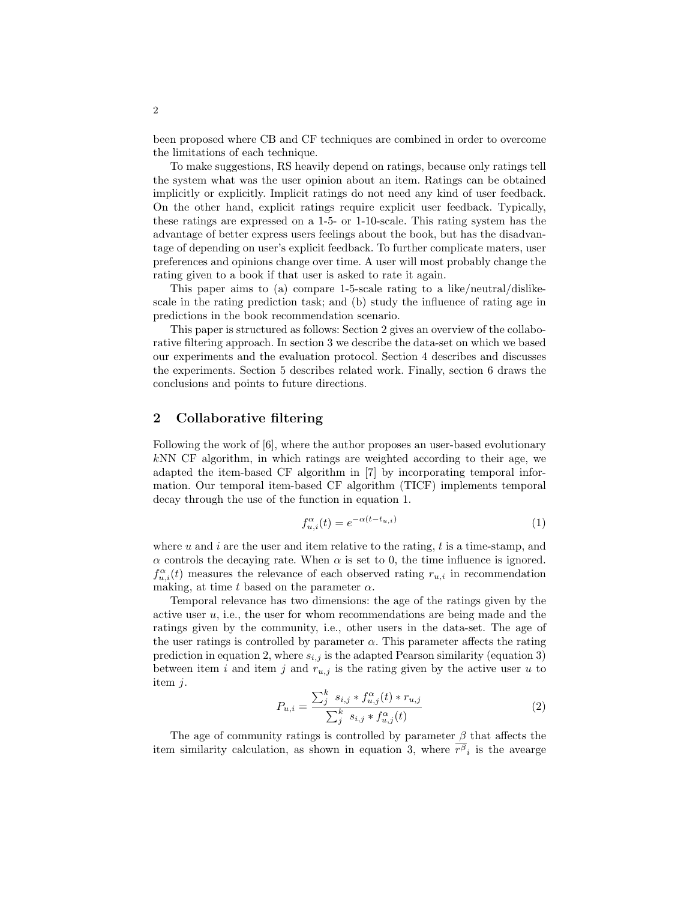been proposed where CB and CF techniques are combined in order to overcome the limitations of each technique.

To make suggestions, RS heavily depend on ratings, because only ratings tell the system what was the user opinion about an item. Ratings can be obtained implicitly or explicitly. Implicit ratings do not need any kind of user feedback. On the other hand, explicit ratings require explicit user feedback. Typically, these ratings are expressed on a 1-5- or 1-10-scale. This rating system has the advantage of better express users feelings about the book, but has the disadvantage of depending on user's explicit feedback. To further complicate maters, user preferences and opinions change over time. A user will most probably change the rating given to a book if that user is asked to rate it again.

This paper aims to (a) compare 1-5-scale rating to a like/neutral/dislikescale in the rating prediction task; and (b) study the influence of rating age in predictions in the book recommendation scenario.

This paper is structured as follows: Section 2 gives an overview of the collaborative filtering approach. In section 3 we describe the data-set on which we based our experiments and the evaluation protocol. Section 4 describes and discusses the experiments. Section 5 describes related work. Finally, section 6 draws the conclusions and points to future directions.

# 2 Collaborative filtering

Following the work of [6], where the author proposes an user-based evolutionary  $k<sub>N</sub>$  CF algorithm, in which ratings are weighted according to their age, we adapted the item-based CF algorithm in [7] by incorporating temporal information. Our temporal item-based CF algorithm (TICF) implements temporal decay through the use of the function in equation 1.

$$
f_{u,i}^{\alpha}(t) = e^{-\alpha(t - t_{u,i})}
$$
\n<sup>(1)</sup>

where  $u$  and  $i$  are the user and item relative to the rating,  $t$  is a time-stamp, and  $\alpha$  controls the decaying rate. When  $\alpha$  is set to 0, the time influence is ignored.  $f_{u,i}^{\alpha}(t)$  measures the relevance of each observed rating  $r_{u,i}$  in recommendation making, at time t based on the parameter  $\alpha$ .

Temporal relevance has two dimensions: the age of the ratings given by the active user  $u$ , i.e., the user for whom recommendations are being made and the ratings given by the community, i.e., other users in the data-set. The age of the user ratings is controlled by parameter  $\alpha$ . This parameter affects the rating prediction in equation 2, where  $s_{i,j}$  is the adapted Pearson similarity (equation 3) between item i and item j and  $r_{u,j}$  is the rating given by the active user u to item j.

$$
P_{u,i} = \frac{\sum_{j}^{k} s_{i,j} * f_{u,j}^{\alpha}(t) * r_{u,j}}{\sum_{j}^{k} s_{i,j} * f_{u,j}^{\alpha}(t)}
$$
(2)

The age of community ratings is controlled by parameter  $\beta$  that affects the item similarity calculation, as shown in equation 3, where  $r^{\beta}{}_{i}$  is the avearge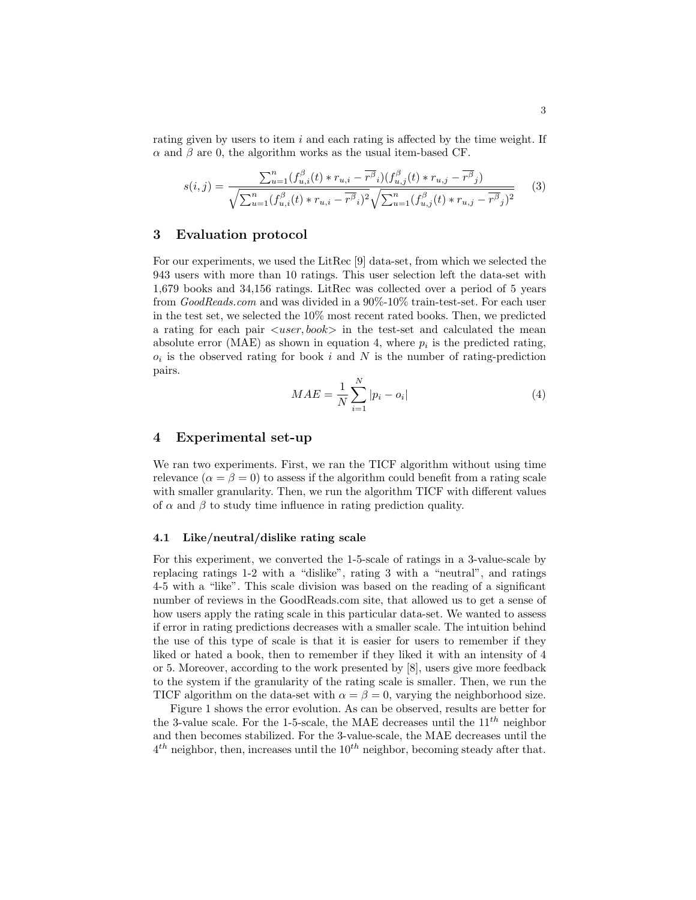rating given by users to item  $i$  and each rating is affected by the time weight. If  $\alpha$  and  $\beta$  are 0, the algorithm works as the usual item-based CF.

$$
s(i,j) = \frac{\sum_{u=1}^{n} (f_{u,i}^{\beta}(t) * r_{u,i} - \overline{r^{\beta}}_i)(f_{u,j}^{\beta}(t) * r_{u,j} - \overline{r^{\beta}}_j)}{\sqrt{\sum_{u=1}^{n} (f_{u,i}^{\beta}(t) * r_{u,i} - \overline{r^{\beta}}_i)^2} \sqrt{\sum_{u=1}^{n} (f_{u,j}^{\beta}(t) * r_{u,j} - \overline{r^{\beta}}_j)^2}}
$$
(3)

#### 3 Evaluation protocol

For our experiments, we used the LitRec [9] data-set, from which we selected the 943 users with more than 10 ratings. This user selection left the data-set with 1,679 books and 34,156 ratings. LitRec was collected over a period of 5 years from GoodReads.com and was divided in a 90%-10% train-test-set. For each user in the test set, we selected the 10% most recent rated books. Then, we predicted a rating for each pair  $\langle user, book \rangle$  in the test-set and calculated the mean absolute error (MAE) as shown in equation 4, where  $p_i$  is the predicted rating,  $o_i$  is the observed rating for book i and N is the number of rating-prediction pairs.

$$
MAE = \frac{1}{N} \sum_{i=1}^{N} |p_i - o_i|
$$
 (4)

## 4 Experimental set-up

We ran two experiments. First, we ran the TICF algorithm without using time relevance  $(\alpha = \beta = 0)$  to assess if the algorithm could benefit from a rating scale with smaller granularity. Then, we run the algorithm TICF with different values of  $\alpha$  and  $\beta$  to study time influence in rating prediction quality.

#### 4.1 Like/neutral/dislike rating scale

For this experiment, we converted the 1-5-scale of ratings in a 3-value-scale by replacing ratings 1-2 with a "dislike", rating 3 with a "neutral", and ratings 4-5 with a "like". This scale division was based on the reading of a significant number of reviews in the GoodReads.com site, that allowed us to get a sense of how users apply the rating scale in this particular data-set. We wanted to assess if error in rating predictions decreases with a smaller scale. The intuition behind the use of this type of scale is that it is easier for users to remember if they liked or hated a book, then to remember if they liked it with an intensity of 4 or 5. Moreover, according to the work presented by [8], users give more feedback to the system if the granularity of the rating scale is smaller. Then, we run the TICF algorithm on the data-set with  $\alpha = \beta = 0$ , varying the neighborhood size.

Figure 1 shows the error evolution. As can be observed, results are better for the 3-value scale. For the 1-5-scale, the MAE decreases until the  $11^{th}$  neighbor and then becomes stabilized. For the 3-value-scale, the MAE decreases until the  $4<sup>th</sup>$  neighbor, then, increases until the  $10<sup>th</sup>$  neighbor, becoming steady after that.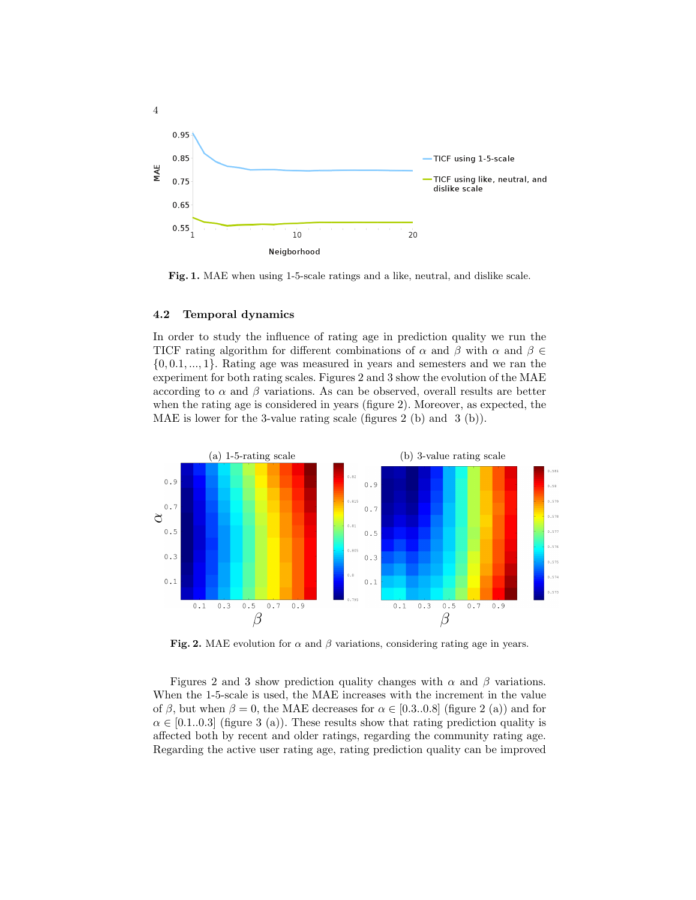

Fig. 1. MAE when using 1-5-scale ratings and a like, neutral, and dislike scale.

#### 4.2 Temporal dynamics

In order to study the influence of rating age in prediction quality we run the TICF rating algorithm for different combinations of  $\alpha$  and  $\beta$  with  $\alpha$  and  $\beta \in$  $\{0, 0.1, \ldots, 1\}$ . Rating age was measured in years and semesters and we ran the experiment for both rating scales. Figures 2 and 3 show the evolution of the MAE according to  $\alpha$  and  $\beta$  variations. As can be observed, overall results are better when the rating age is considered in years (figure 2). Moreover, as expected, the MAE is lower for the 3-value rating scale (figures 2 (b) and 3 (b)).



Fig. 2. MAE evolution for  $\alpha$  and  $\beta$  variations, considering rating age in years.

Figures 2 and 3 show prediction quality changes with  $\alpha$  and  $\beta$  variations. When the 1-5-scale is used, the MAE increases with the increment in the value of  $\beta$ , but when  $\beta = 0$ , the MAE decreases for  $\alpha \in [0.3..0.8]$  (figure 2 (a)) and for  $\alpha \in [0.1..0.3]$  (figure 3 (a)). These results show that rating prediction quality is affected both by recent and older ratings, regarding the community rating age. Regarding the active user rating age, rating prediction quality can be improved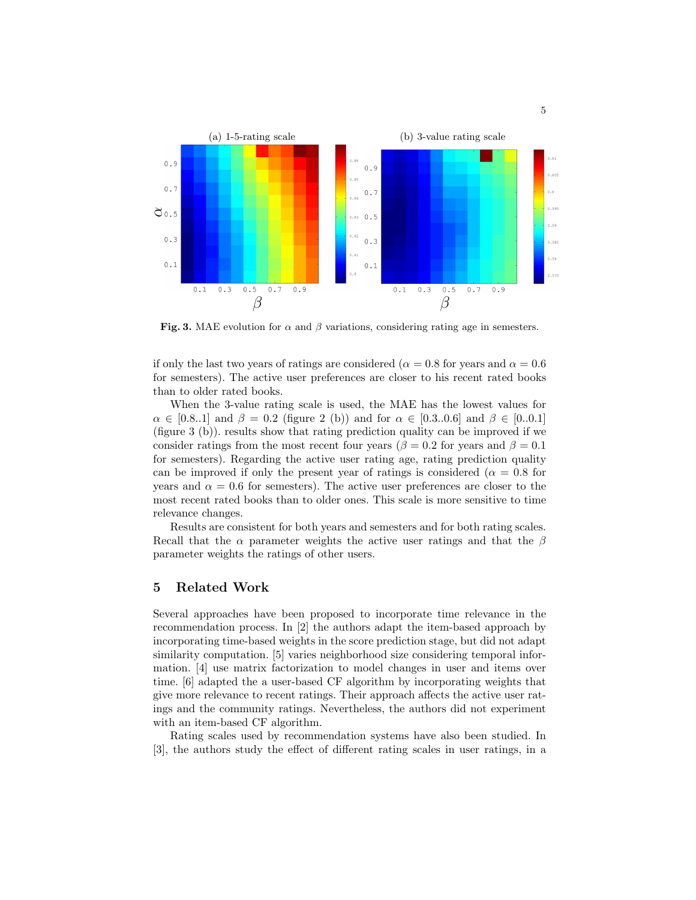

Fig. 3. MAE evolution for  $\alpha$  and  $\beta$  variations, considering rating age in semesters.

if only the last two years of ratings are considered ( $\alpha = 0.8$  for years and  $\alpha = 0.6$ ) for semesters). The active user preferences are closer to his recent rated books than to older rated books.

When the 3-value rating scale is used, the MAE has the lowest values for  $\alpha \in [0.8..1]$  and  $\beta = 0.2$  (figure 2 (b)) and for  $\alpha \in [0.3..0.6]$  and  $\beta \in [0..0.1]$ (figure 3 (b)). results show that rating prediction quality can be improved if we consider ratings from the most recent four years ( $\beta = 0.2$  for years and  $\beta = 0.1$ ) for semesters). Regarding the active user rating age, rating prediction quality can be improved if only the present year of ratings is considered ( $\alpha = 0.8$  for years and  $\alpha = 0.6$  for semesters). The active user preferences are closer to the most recent rated books than to older ones. This scale is more sensitive to time relevance changes.

Results are consistent for both years and semesters and for both rating scales. Recall that the  $\alpha$  parameter weights the active user ratings and that the  $\beta$ parameter weights the ratings of other users.

## 5 Related Work

Several approaches have been proposed to incorporate time relevance in the recommendation process. In [2] the authors adapt the item-based approach by incorporating time-based weights in the score prediction stage, but did not adapt similarity computation. [5] varies neighborhood size considering temporal information. [4] use matrix factorization to model changes in user and items over time. [6] adapted the a user-based CF algorithm by incorporating weights that give more relevance to recent ratings. Their approach affects the active user ratings and the community ratings. Nevertheless, the authors did not experiment with an item-based CF algorithm.

Rating scales used by recommendation systems have also been studied. In [3], the authors study the effect of different rating scales in user ratings, in a